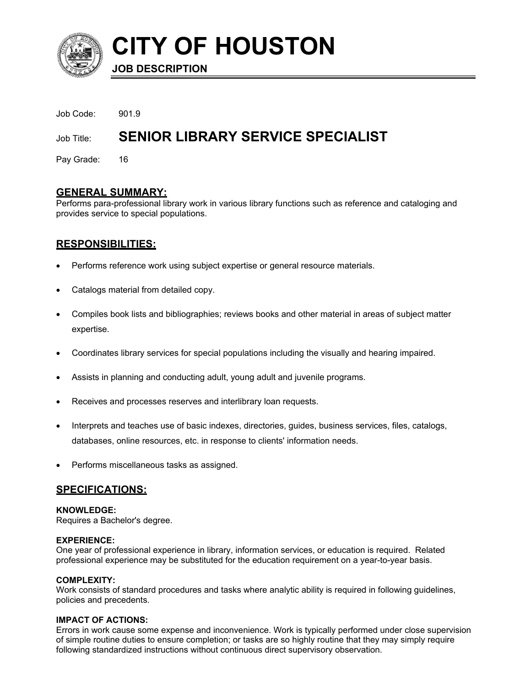

**CITY OF HOUSTON**

**JOB DESCRIPTION**

| Job Code: 901.9 |                                          |
|-----------------|------------------------------------------|
| Job Title:      | <b>SENIOR LIBRARY SERVICE SPECIALIST</b> |
| Pay Grade: 16   |                                          |

# **GENERAL SUMMARY:**

Performs para-professional library work in various library functions such as reference and cataloging and provides service to special populations.

# **RESPONSIBILITIES:**

- Performs reference work using subject expertise or general resource materials.
- Catalogs material from detailed copy.
- Compiles book lists and bibliographies; reviews books and other material in areas of subject matter expertise.
- Coordinates library services for special populations including the visually and hearing impaired.
- Assists in planning and conducting adult, young adult and juvenile programs.
- Receives and processes reserves and interlibrary loan requests.
- Interprets and teaches use of basic indexes, directories, guides, business services, files, catalogs, databases, online resources, etc. in response to clients' information needs.
- Performs miscellaneous tasks as assigned.

# **SPECIFICATIONS:**

### **KNOWLEDGE:**

Requires a Bachelor's degree.

### **EXPERIENCE:**

One year of professional experience in library, information services, or education is required. Related professional experience may be substituted for the education requirement on a year-to-year basis.

### **COMPLEXITY:**

Work consists of standard procedures and tasks where analytic ability is required in following guidelines, policies and precedents.

### **IMPACT OF ACTIONS:**

Errors in work cause some expense and inconvenience. Work is typically performed under close supervision of simple routine duties to ensure completion; or tasks are so highly routine that they may simply require following standardized instructions without continuous direct supervisory observation.